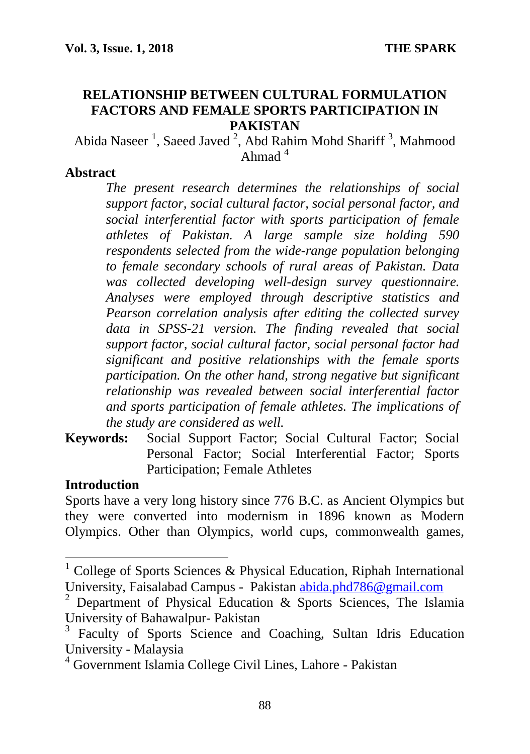#### **RELATIONSHIP BETWEEN CULTURAL FORMULATION FACTORS AND FEMALE SPORTS PARTICIPATION IN PAKISTAN**

Abida Naseer<sup>1</sup>, Saeed Javed<sup>2</sup>, Abd Rahim Mohd Shariff<sup>3</sup>, Mahmood Ahmad  $4$ 

#### **Abstract**

*The present research determines the relationships of social support factor, social cultural factor, social personal factor, and social interferential factor with sports participation of female athletes of Pakistan. A large sample size holding 590 respondents selected from the wide-range population belonging to female secondary schools of rural areas of Pakistan. Data was collected developing well-design survey questionnaire. Analyses were employed through descriptive statistics and Pearson correlation analysis after editing the collected survey data in SPSS-21 version. The finding revealed that social support factor, social cultural factor, social personal factor had significant and positive relationships with the female sports participation. On the other hand, strong negative but significant relationship was revealed between social interferential factor and sports participation of female athletes. The implications of the study are considered as well.*

**Keywords:** Social Support Factor; Social Cultural Factor; Social Personal Factor; Social Interferential Factor; Sports Participation; Female Athletes

#### **Introduction**

Sports have a very long history since 776 B.C. as Ancient Olympics but they were converted into modernism in 1896 known as Modern Olympics. Other than Olympics, world cups, commonwealth games,

 $1$  College of Sports Sciences & Physical Education, Riphah International University, Faisalabad Campus - Pakistan [abida.phd786@gmail.com](mailto:abida.phd786@gmail.com)

<sup>2</sup> Department of Physical Education & Sports Sciences, The Islamia University of Bahawalpur- Pakistan

<sup>&</sup>lt;sup>3</sup> Faculty of Sports Science and Coaching, Sultan Idris Education University - Malaysia

<sup>4</sup> Government Islamia College Civil Lines, Lahore - Pakistan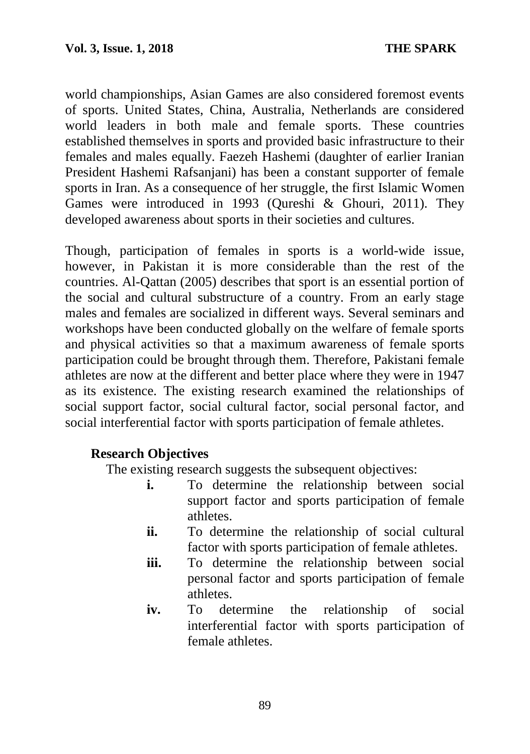world championships, Asian Games are also considered foremost events of sports. United States, China, Australia, Netherlands are considered world leaders in both male and female sports. These countries established themselves in sports and provided basic infrastructure to their females and males equally. Faezeh Hashemi (daughter of earlier Iranian President Hashemi Rafsanjani) has been a constant supporter of female sports in Iran. As a consequence of her struggle, the first Islamic Women Games were introduced in 1993 (Qureshi & Ghouri, 2011). They developed awareness about sports in their societies and cultures.

Though, participation of females in sports is a world-wide issue, however, in Pakistan it is more considerable than the rest of the countries. Al-Qattan (2005) describes that sport is an essential portion of the social and cultural substructure of a country. From an early stage males and females are socialized in different ways. Several seminars and workshops have been conducted globally on the welfare of female sports and physical activities so that a maximum awareness of female sports participation could be brought through them. Therefore, Pakistani female athletes are now at the different and better place where they were in 1947 as its existence. The existing research examined the relationships of social support factor, social cultural factor, social personal factor, and social interferential factor with sports participation of female athletes.

### **Research Objectives**

The existing research suggests the subsequent objectives:

- **i.** To determine the relationship between social support factor and sports participation of female athletes.
- **ii.** To determine the relationship of social cultural factor with sports participation of female athletes.
- iii. To determine the relationship between social personal factor and sports participation of female athletes.
- **iv.** To determine the relationship of social interferential factor with sports participation of female athletes.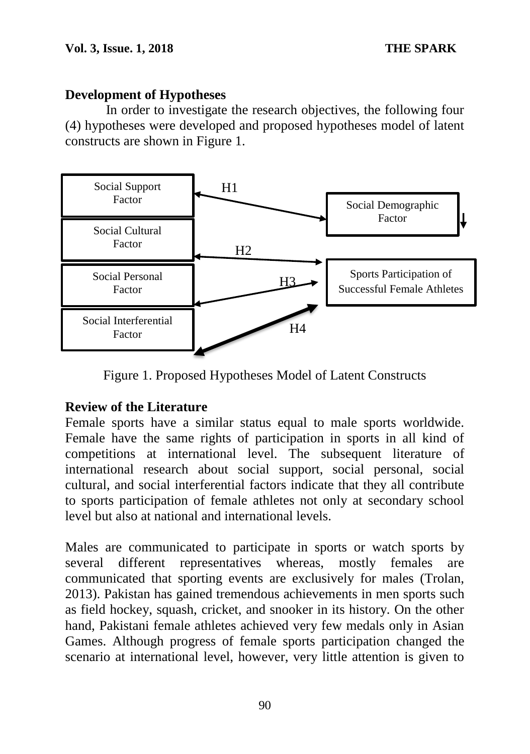## **Development of Hypotheses**

In order to investigate the research objectives, the following four (4) hypotheses were developed and proposed hypotheses model of latent constructs are shown in Figure 1.



Figure 1. Proposed Hypotheses Model of Latent Constructs

# **Review of the Literature**

Female sports have a similar status equal to male sports worldwide. Female have the same rights of participation in sports in all kind of competitions at international level. The subsequent literature of international research about social support, social personal, social cultural, and social interferential factors indicate that they all contribute to sports participation of female athletes not only at secondary school level but also at national and international levels.

Males are communicated to participate in sports or watch sports by several different representatives whereas, mostly females are communicated that sporting events are exclusively for males (Trolan, 2013). Pakistan has gained tremendous achievements in men sports such as field hockey, squash, cricket, and snooker in its history. On the other hand, Pakistani female athletes achieved very few medals only in Asian Games. Although progress of female sports participation changed the scenario at international level, however, very little attention is given to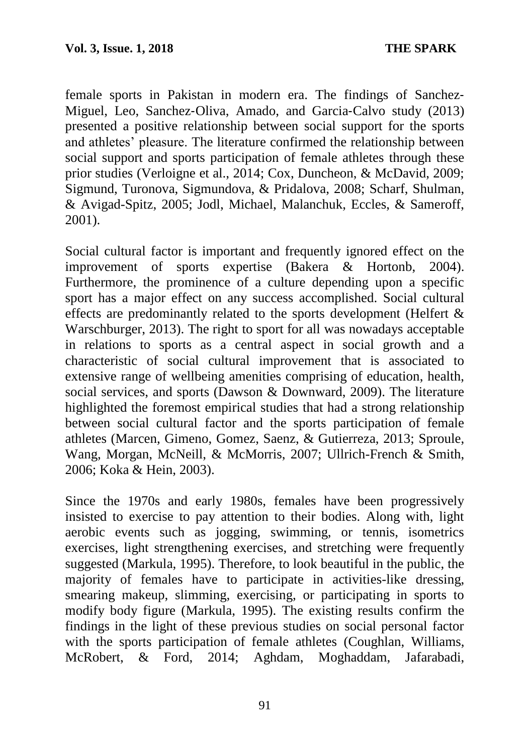female sports in Pakistan in modern era. The findings of Sanchez-Miguel, Leo, Sanchez‐Oliva, Amado, and Garcia‐Calvo study (2013) presented a positive relationship between social support for the sports and athletes' pleasure. The literature confirmed the relationship between social support and sports participation of female athletes through these prior studies (Verloigne et al., 2014; Cox, Duncheon, & McDavid, 2009; Sigmund, Turonova, Sigmundova, & Pridalova, 2008; Scharf, Shulman, & Avigad-Spitz, 2005; Jodl, Michael, Malanchuk, Eccles, & Sameroff, 2001).

Social cultural factor is important and frequently ignored effect on the improvement of sports expertise (Bakera & Hortonb, 2004). Furthermore, the prominence of a culture depending upon a specific sport has a major effect on any success accomplished. Social cultural effects are predominantly related to the sports development (Helfert & Warschburger, 2013). The right to sport for all was nowadays acceptable in relations to sports as a central aspect in social growth and a characteristic of social cultural improvement that is associated to extensive range of wellbeing amenities comprising of education, health, social services, and sports (Dawson & Downward, 2009). The literature highlighted the foremost empirical studies that had a strong relationship between social cultural factor and the sports participation of female athletes (Marcen, Gimeno, Gomez, Saenz, & Gutierreza, 2013; Sproule, Wang, Morgan, McNeill, & McMorris, 2007; Ullrich-French & Smith, 2006; Koka & Hein, 2003).

Since the 1970s and early 1980s, females have been progressively insisted to exercise to pay attention to their bodies. Along with, light aerobic events such as jogging, swimming, or tennis, isometrics exercises, light strengthening exercises, and stretching were frequently suggested (Markula, 1995). Therefore, to look beautiful in the public, the majority of females have to participate in activities-like dressing, smearing makeup, slimming, exercising, or participating in sports to modify body figure (Markula, 1995). The existing results confirm the findings in the light of these previous studies on social personal factor with the sports participation of female athletes (Coughlan, Williams, McRobert, & Ford, 2014; Aghdam, Moghaddam, Jafarabadi,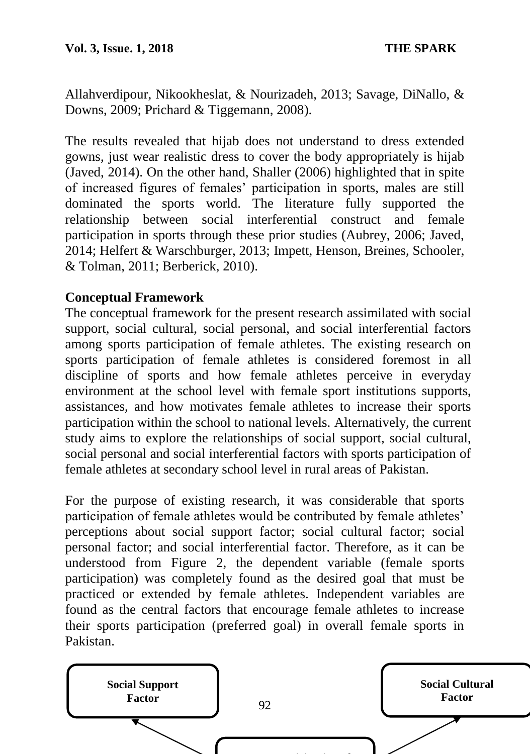Allahverdipour, Nikookheslat, & Nourizadeh, 2013; Savage, DiNallo, & Downs, 2009; Prichard & Tiggemann, 2008).

The results revealed that hijab does not understand to dress extended gowns, just wear realistic dress to cover the body appropriately is hijab (Javed, 2014). On the other hand, Shaller (2006) highlighted that in spite of increased figures of females' participation in sports, males are still dominated the sports world. The literature fully supported the relationship between social interferential construct and female participation in sports through these prior studies (Aubrey, 2006; Javed, 2014; Helfert & Warschburger, 2013; Impett, Henson, Breines, Schooler, & Tolman, 2011; Berberick, 2010).

## **Conceptual Framework**

The conceptual framework for the present research assimilated with social support, social cultural, social personal, and social interferential factors among sports participation of female athletes. The existing research on sports participation of female athletes is considered foremost in all discipline of sports and how female athletes perceive in everyday environment at the school level with female sport institutions supports, assistances, and how motivates female athletes to increase their sports participation within the school to national levels. Alternatively, the current study aims to explore the relationships of social support, social cultural, social personal and social interferential factors with sports participation of female athletes at secondary school level in rural areas of Pakistan.

For the purpose of existing research, it was considerable that sports participation of female athletes would be contributed by female athletes' perceptions about social support factor; social cultural factor; social personal factor; and social interferential factor. Therefore, as it can be understood from Figure 2, the dependent variable (female sports participation) was completely found as the desired goal that must be practiced or extended by female athletes. Independent variables are found as the central factors that encourage female athletes to increase their sports participation (preferred goal) in overall female sports in Pakistan.

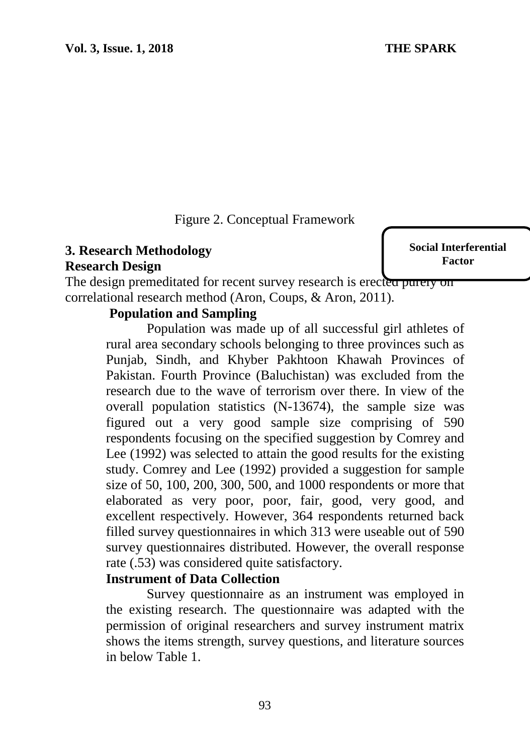Figure 2. Conceptual Framework

# **3. Research Methodology Research Design**

**Social Interferential Factor**

The design premeditated for recent survey research is erected purely on correlational research method (Aron, Coups, & Aron, 2011).

## **Population and Sampling**

Population was made up of all successful girl athletes of rural area secondary schools belonging to three provinces such as Punjab, Sindh, and Khyber Pakhtoon Khawah Provinces of Pakistan. Fourth Province (Baluchistan) was excluded from the research due to the wave of terrorism over there. In view of the overall population statistics (N-13674), the sample size was figured out a very good sample size comprising of 590 respondents focusing on the specified suggestion by Comrey and Lee (1992) was selected to attain the good results for the existing study. Comrey and Lee (1992) provided a suggestion for sample size of 50, 100, 200, 300, 500, and 1000 respondents or more that elaborated as very poor, poor, fair, good, very good, and excellent respectively. However, 364 respondents returned back filled survey questionnaires in which 313 were useable out of 590 survey questionnaires distributed. However, the overall response rate (.53) was considered quite satisfactory.

#### **Instrument of Data Collection**

Survey questionnaire as an instrument was employed in the existing research. The questionnaire was adapted with the permission of original researchers and survey instrument matrix shows the items strength, survey questions, and literature sources in below Table 1.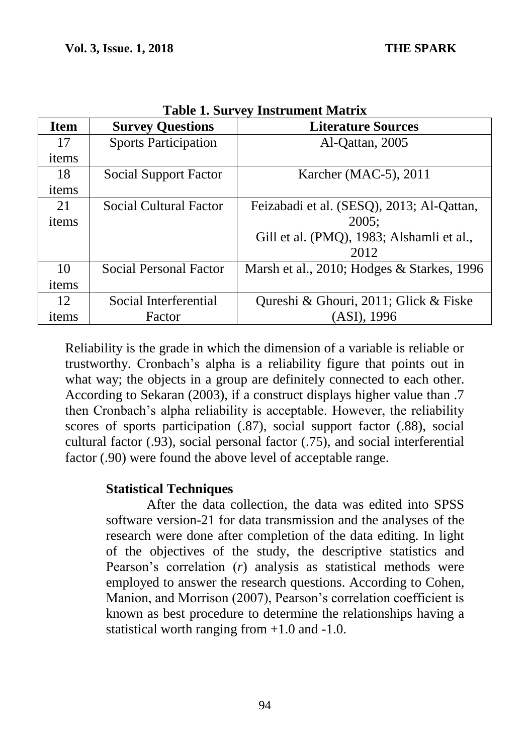| <b>Item</b> | <b>Survey Questions</b>       | $\ldots$<br><b>Literature Sources</b>      |  |  |
|-------------|-------------------------------|--------------------------------------------|--|--|
| 17          | <b>Sports Participation</b>   | Al-Qattan, 2005                            |  |  |
| items       |                               |                                            |  |  |
| 18          | Social Support Factor         | Karcher (MAC-5), 2011                      |  |  |
| items       |                               |                                            |  |  |
| 21          | <b>Social Cultural Factor</b> | Feizabadi et al. (SESQ), 2013; Al-Qattan,  |  |  |
| items       |                               | 2005:                                      |  |  |
|             |                               | Gill et al. (PMQ), 1983; Alshamli et al.,  |  |  |
|             |                               | 2012                                       |  |  |
| 10          | Social Personal Factor        | Marsh et al., 2010; Hodges & Starkes, 1996 |  |  |
| items       |                               |                                            |  |  |
| 12          | Social Interferential         | Qureshi & Ghouri, 2011; Glick & Fiske      |  |  |
| items       | Factor                        | (ASI), 1996                                |  |  |

**Table 1. Survey Instrument Matrix**

Reliability is the grade in which the dimension of a variable is reliable or trustworthy. Cronbach's alpha is a reliability figure that points out in what way; the objects in a group are definitely connected to each other. According to Sekaran (2003), if a construct displays higher value than .7 then Cronbach's alpha reliability is acceptable. However, the reliability scores of sports participation (.87), social support factor (.88), social cultural factor (.93), social personal factor (.75), and social interferential factor (.90) were found the above level of acceptable range.

#### **Statistical Techniques**

After the data collection, the data was edited into SPSS software version-21 for data transmission and the analyses of the research were done after completion of the data editing. In light of the objectives of the study, the descriptive statistics and Pearson's correlation (*r*) analysis as statistical methods were employed to answer the research questions. According to Cohen, Manion, and Morrison (2007), Pearson's correlation coefficient is known as best procedure to determine the relationships having a statistical worth ranging from +1.0 and -1.0.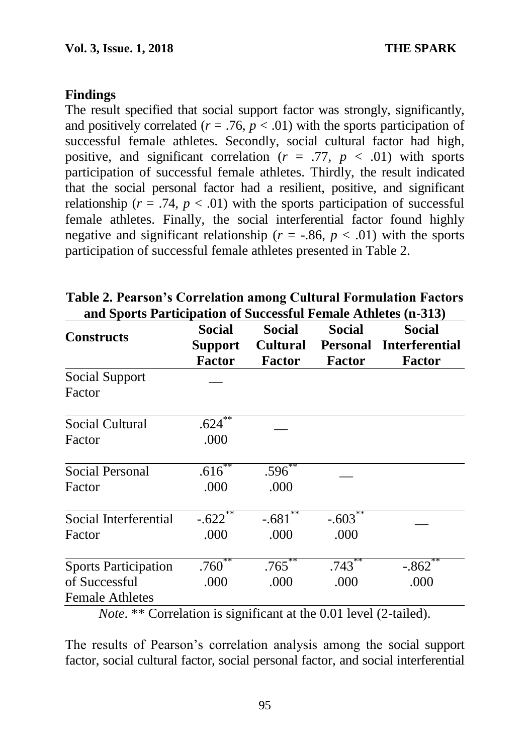## **Findings**

The result specified that social support factor was strongly, significantly, and positively correlated  $(r = .76, p < .01)$  with the sports participation of successful female athletes. Secondly, social cultural factor had high, positive, and significant correlation  $(r = .77, p < .01)$  with sports participation of successful female athletes. Thirdly, the result indicated that the social personal factor had a resilient, positive, and significant relationship ( $r = .74$ ,  $p < .01$ ) with the sports participation of successful female athletes. Finally, the social interferential factor found highly negative and significant relationship ( $r = -.86$ ,  $p < .01$ ) with the sports participation of successful female athletes presented in Table 2.

| <b>Constructs</b>                                                                                                                                            | <b>Social</b><br><b>Support</b><br><b>Factor</b> | Social<br><b>Cultural</b><br><b>Factor</b> | Social<br><b>Personal</b><br><b>Factor</b> | <b>Social</b><br><b>Interferential</b><br><b>Factor</b> |
|--------------------------------------------------------------------------------------------------------------------------------------------------------------|--------------------------------------------------|--------------------------------------------|--------------------------------------------|---------------------------------------------------------|
| Social Support<br>Factor                                                                                                                                     |                                                  |                                            |                                            |                                                         |
| Social Cultural<br>Factor                                                                                                                                    | .624<br>.000                                     |                                            |                                            |                                                         |
| Social Personal<br>Factor                                                                                                                                    | $.616^{**}$<br>.000                              | .596<br>.000                               |                                            |                                                         |
| Social Interferential<br>Factor                                                                                                                              | $-.622$<br>.000                                  | $-.681$<br>.000                            | $-.603$<br>.000                            |                                                         |
| <b>Sports Participation</b><br>of Successful<br><b>Female Athletes</b><br>$N_{\text{obs}}$ ** Completion is significant at the 0.01 level (2 to $(\alpha)$ ) | $.760***$<br>.000                                | $.765$ **<br>.000                          | $.743^{**}$<br>.000                        | $-.862$<br>.000                                         |

**Table 2. Pearson's Correlation among Cultural Formulation Factors and Sports Participation of Successful Female Athletes (n-313)**

*Note*. \*\* Correlation is significant at the 0.01 level (2-tailed).

The results of Pearson's correlation analysis among the social support factor, social cultural factor, social personal factor, and social interferential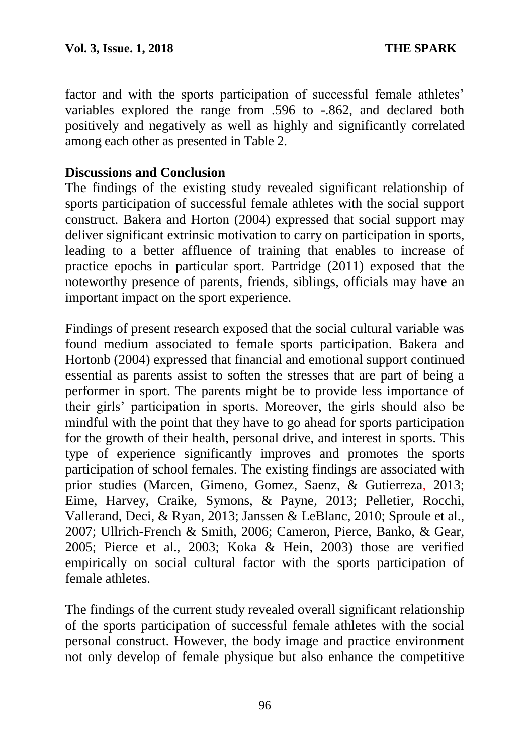factor and with the sports participation of successful female athletes' variables explored the range from .596 to -.862, and declared both positively and negatively as well as highly and significantly correlated among each other as presented in Table 2.

#### **Discussions and Conclusion**

The findings of the existing study revealed significant relationship of sports participation of successful female athletes with the social support construct. Bakera and Horton (2004) expressed that social support may deliver significant extrinsic motivation to carry on participation in sports, leading to a better affluence of training that enables to increase of practice epochs in particular sport. Partridge (2011) exposed that the noteworthy presence of parents, friends, siblings, officials may have an important impact on the sport experience.

Findings of present research exposed that the social cultural variable was found medium associated to female sports participation. Bakera and Hortonb (2004) expressed that financial and emotional support continued essential as parents assist to soften the stresses that are part of being a performer in sport. The parents might be to provide less importance of their girls' participation in sports. Moreover, the girls should also be mindful with the point that they have to go ahead for sports participation for the growth of their health, personal drive, and interest in sports. This type of experience significantly improves and promotes the sports participation of school females. The existing findings are associated with prior studies (Marcen, Gimeno, Gomez, Saenz, & Gutierreza, 2013; Eime, Harvey, Craike, Symons, & Payne, 2013; Pelletier, Rocchi, Vallerand, Deci, & Ryan, 2013; Janssen & LeBlanc, 2010; Sproule et al., 2007; Ullrich-French & Smith, 2006; Cameron, Pierce, Banko, & Gear, 2005; Pierce et al., 2003; Koka & Hein, 2003) those are verified empirically on social cultural factor with the sports participation of female athletes.

The findings of the current study revealed overall significant relationship of the sports participation of successful female athletes with the social personal construct. However, the body image and practice environment not only develop of female physique but also enhance the competitive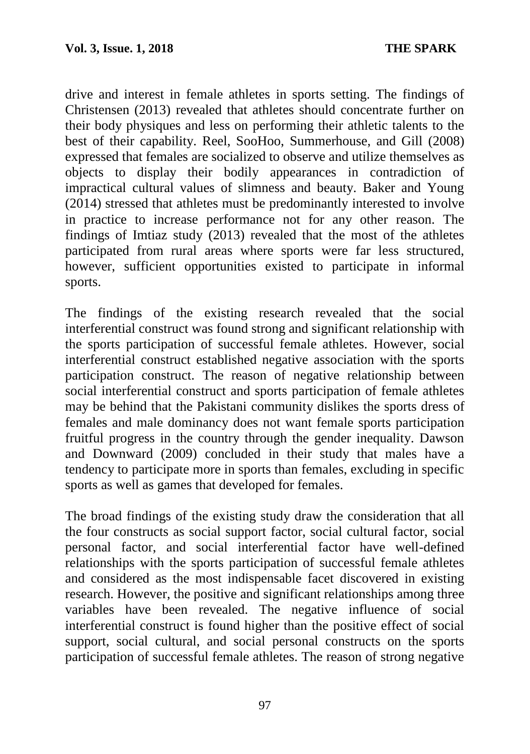drive and interest in female athletes in sports setting. The findings of Christensen (2013) revealed that athletes should concentrate further on their body physiques and less on performing their athletic talents to the best of their capability. Reel, SooHoo, Summerhouse, and Gill (2008) expressed that females are socialized to observe and utilize themselves as objects to display their bodily appearances in contradiction of impractical cultural values of slimness and beauty. Baker and Young (2014) stressed that athletes must be predominantly interested to involve in practice to increase performance not for any other reason. The findings of Imtiaz study (2013) revealed that the most of the athletes participated from rural areas where sports were far less structured, however, sufficient opportunities existed to participate in informal sports.

The findings of the existing research revealed that the social interferential construct was found strong and significant relationship with the sports participation of successful female athletes. However, social interferential construct established negative association with the sports participation construct. The reason of negative relationship between social interferential construct and sports participation of female athletes may be behind that the Pakistani community dislikes the sports dress of females and male dominancy does not want female sports participation fruitful progress in the country through the gender inequality. Dawson and Downward (2009) concluded in their study that males have a tendency to participate more in sports than females, excluding in specific sports as well as games that developed for females.

The broad findings of the existing study draw the consideration that all the four constructs as social support factor, social cultural factor, social personal factor, and social interferential factor have well-defined relationships with the sports participation of successful female athletes and considered as the most indispensable facet discovered in existing research. However, the positive and significant relationships among three variables have been revealed. The negative influence of social interferential construct is found higher than the positive effect of social support, social cultural, and social personal constructs on the sports participation of successful female athletes. The reason of strong negative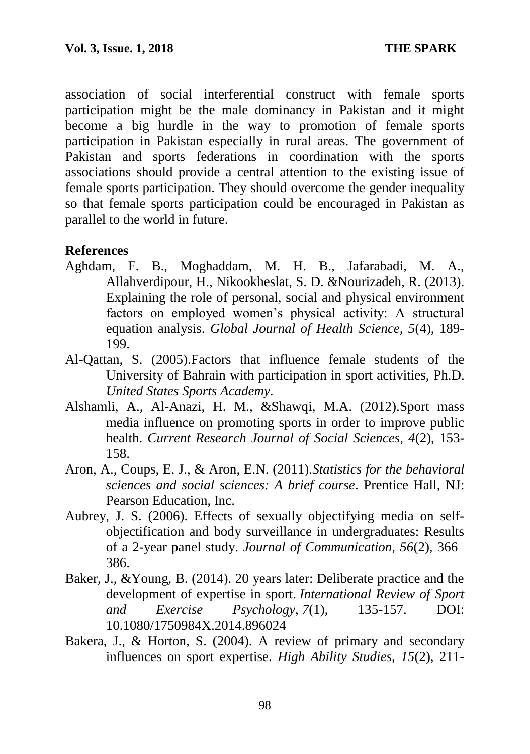association of social interferential construct with female sports participation might be the male dominancy in Pakistan and it might become a big hurdle in the way to promotion of female sports participation in Pakistan especially in rural areas. The government of Pakistan and sports federations in coordination with the sports associations should provide a central attention to the existing issue of female sports participation. They should overcome the gender inequality so that female sports participation could be encouraged in Pakistan as parallel to the world in future.

# **References**

- Aghdam, F. B., Moghaddam, M. H. B., Jafarabadi, M. A., Allahverdipour, H., Nikookheslat, S. D. &Nourizadeh, R. (2013). Explaining the role of personal, social and physical environment factors on employed women's physical activity: A structural equation analysis. *Global Journal of Health Science, 5*(4), 189- 199.
- Al-Qattan, S. (2005).Factors that influence female students of the University of Bahrain with participation in sport activities, Ph.D. *United States Sports Academy*.
- Alshamli, A., Al-Anazi, H. M., &Shawqi, M.A. (2012).Sport mass media influence on promoting sports in order to improve public health. *Current Research Journal of Social Sciences, 4*(2), 153- 158.
- Aron, A., Coups, E. J., & Aron, E.N. (2011).*Statistics for the behavioral sciences and social sciences: A brief course*. Prentice Hall, NJ: Pearson Education, Inc.
- Aubrey, J. S. (2006). Effects of sexually objectifying media on selfobjectification and body surveillance in undergraduates: Results of a 2-year panel study. *Journal of Communication, 56*(2)*,* 366– 386.
- Baker, J., &Young, B. (2014). 20 years later: Deliberate practice and the development of expertise in sport. *International Review of Sport and Exercise Psychology*, *7*(1), 135-157. DOI: 10.1080/1750984X.2014.896024
- Bakera, J., & Horton, S. (2004). A review of primary and secondary influences on sport expertise. *High Ability Studies, 15*(2), 211-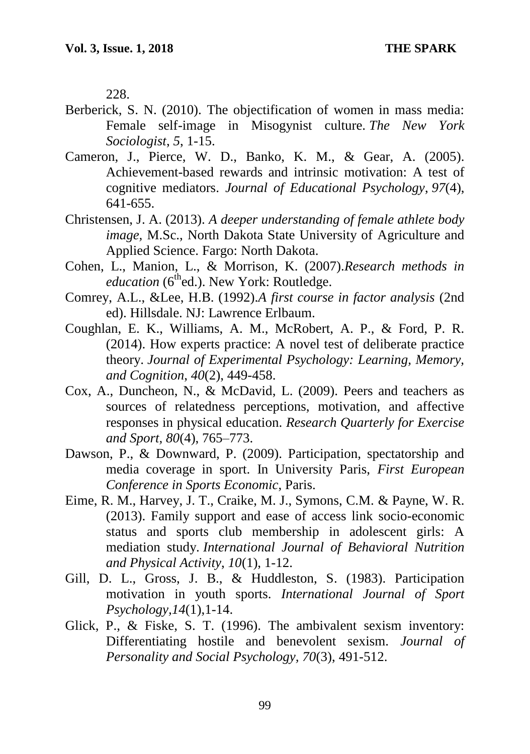228.

- Berberick, S. N. (2010). The objectification of women in mass media: Female self-image in Misogynist culture. *The New York Sociologist*, *5*, 1-15.
- Cameron, J., Pierce, W. D., Banko, K. M., & Gear, A. (2005). Achievement-based rewards and intrinsic motivation: A test of cognitive mediators. *Journal of Educational Psychology*, *97*(4), 641-655.
- Christensen, J. A. (2013). *A deeper understanding of female athlete body image,* M.Sc., North Dakota State University of Agriculture and Applied Science. Fargo: North Dakota.
- Cohen, L., Manion, L., & Morrison, K. (2007).*Research methods in education* (6<sup>th</sup>ed.). New York: Routledge.
- Comrey, A.L., &Lee, H.B. (1992).*A first course in factor analysis* (2nd ed). Hillsdale. NJ: Lawrence Erlbaum.
- Coughlan, E. K., Williams, A. M., McRobert, A. P., & Ford, P. R. (2014). How experts practice: A novel test of deliberate practice theory. *Journal of Experimental Psychology: Learning, Memory, and Cognition*, *40*(2), 449-458.
- Cox, A., Duncheon, N., & McDavid, L. (2009). Peers and teachers as sources of relatedness perceptions, motivation, and affective responses in physical education. *Research Quarterly for Exercise and Sport, 80*(4), 765–773.
- Dawson, P., & Downward, P. (2009). Participation, spectatorship and media coverage in sport. In University Paris, *First European Conference in Sports Economic*, Paris.
- Eime, R. M., Harvey, J. T., Craike, M. J., Symons, C.M. & Payne, W. R. (2013). Family support and ease of access link socio-economic status and sports club membership in adolescent girls: A mediation study. *International Journal of Behavioral Nutrition and Physical Activity*, *10*(1), 1-12.
- Gill, D. L., Gross, J. B., & Huddleston, S. (1983). Participation motivation in youth sports. *International Journal of Sport Psychology,14*(1),1-14.
- Glick, P., & Fiske, S. T. (1996). The ambivalent sexism inventory: Differentiating hostile and benevolent sexism. *Journal of Personality and Social Psychology, 70*(3), 491-512.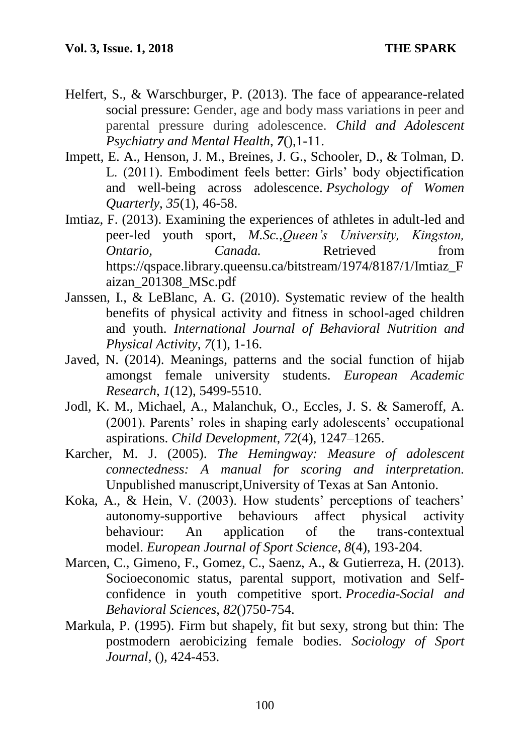- Helfert, S., & Warschburger, P. (2013). The face of appearance-related social pressure: Gender, age and body mass variations in peer and parental pressure during adolescence. *Child and Adolescent Psychiatry and Mental Health*, *7*(),1-11.
- Impett, E. A., Henson, J. M., Breines, J. G., Schooler, D., & Tolman, D. L. (2011). Embodiment feels better: Girls' body objectification and well-being across adolescence. *Psychology of Women Quarterly*, *35*(1), 46-58.
- Imtiaz, F. (2013). Examining the experiences of athletes in adult-led and peer-led youth sport, *M.Sc.,Queen's University, Kingston, Ontario, Canada.* Retrieved from https://qspace.library.queensu.ca/bitstream/1974/8187/1/Imtiaz\_F aizan\_201308\_MSc.pdf
- Janssen, I., & LeBlanc, A. G. (2010). Systematic review of the health benefits of physical activity and fitness in school-aged children and youth. *International Journal of Behavioral Nutrition and Physical Activity*, *7*(1), 1-16.
- Javed, N. (2014). Meanings, patterns and the social function of hijab amongst female university students. *European Academic Research*, *1*(12), 5499-5510.
- Jodl, K. M., Michael, A., Malanchuk, O., Eccles, J. S. & Sameroff, A. (2001). Parents' roles in shaping early adolescents' occupational aspirations. *Child Development, 72*(4), 1247–1265.
- Karcher, M. J. (2005). *The Hemingway: Measure of adolescent connectedness: A manual for scoring and interpretation.*  Unpublished manuscript,University of Texas at San Antonio.
- Koka, A., & Hein, V. (2003). How students' perceptions of teachers' autonomy-supportive behaviours affect physical activity behaviour: An application of the trans-contextual model. *European Journal of Sport Science*, *8*(4), 193-204.
- Marcen, C., Gimeno, F., Gomez, C., Saenz, A., & Gutierreza, H. (2013). Socioeconomic status, parental support, motivation and Selfconfidence in youth competitive sport. *Procedia-Social and Behavioral Sciences*, *82*()750-754.
- Markula, P. (1995). Firm but shapely, fit but sexy, strong but thin: The postmodern aerobicizing female bodies. *Sociology of Sport Journal,* ()*,* 424-453.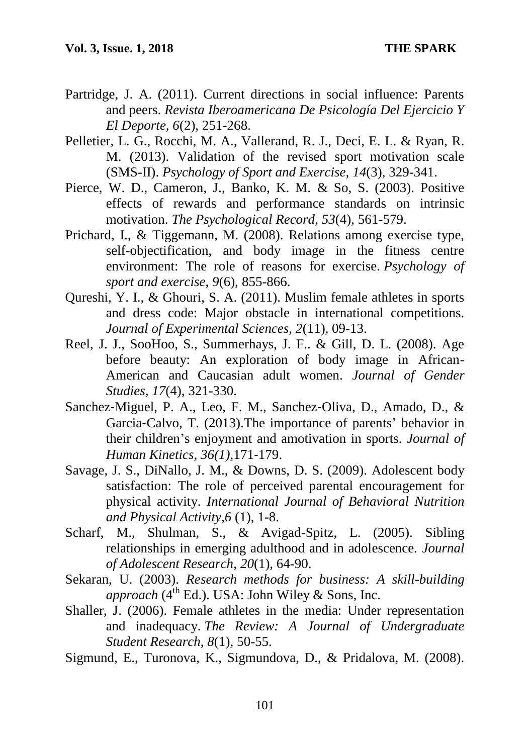- Partridge, J. A. (2011). Current directions in social influence: Parents and peers. *Revista Iberoamericana De Psicología Del Ejercicio Y El Deporte, 6*(2), 251-268.
- Pelletier, L. G., Rocchi, M. A., Vallerand, R. J., Deci, E. L. & Ryan, R. M. (2013). Validation of the revised sport motivation scale (SMS-II). *Psychology of Sport and Exercise*, *14*(3), 329-341.
- Pierce, W. D., Cameron, J., Banko, K. M. & So, S. (2003). Positive effects of rewards and performance standards on intrinsic motivation. *The Psychological Record*, *53*(4), 561-579.
- Prichard, I., & Tiggemann, M. (2008). Relations among exercise type, self-objectification, and body image in the fitness centre environment: The role of reasons for exercise. *Psychology of sport and exercise*, *9*(6), 855-866.
- Qureshi, Y. I., & Ghouri, S. A. (2011). Muslim female athletes in sports and dress code: Major obstacle in international competitions. *Journal of Experimental Sciences, 2*(11), 09-13.
- Reel, J. J., SooHoo, S., Summerhays, J. F.. & Gill, D. L. (2008). Age before beauty: An exploration of body image in African-American and Caucasian adult women. *Journal of Gender Studies, 17*(4), 321-330.
- Sanchez‐Miguel, P. A., Leo, F. M., Sanchez‐Oliva, D., Amado, D., & Garcia‐Calvo, T. (2013).The importance of parents' behavior in their children's enjoyment and amotivation in sports. *Journal of Human Kinetics, 36(1)*,171‐179.
- Savage, J. S., DiNallo, J. M., & Downs, D. S. (2009). Adolescent body satisfaction: The role of perceived parental encouragement for physical activity. *International Journal of Behavioral Nutrition and Physical Activity,6* (1), 1-8.
- Scharf, M., Shulman, S., & Avigad-Spitz, L. (2005). Sibling relationships in emerging adulthood and in adolescence. *Journal of Adolescent Research*, *20*(1), 64-90.
- Sekaran, U. (2003). *Research methods for business: A skill-building approach* ( $4^{th}$  Ed.). USA: John Wiley & Sons, Inc.
- Shaller, J. (2006). Female athletes in the media: Under representation and inadequacy. *The Review: A Journal of Undergraduate Student Research*, *8*(1), 50-55.
- Sigmund, E., Turonova, K., Sigmundova, D., & Pridalova, M. (2008).